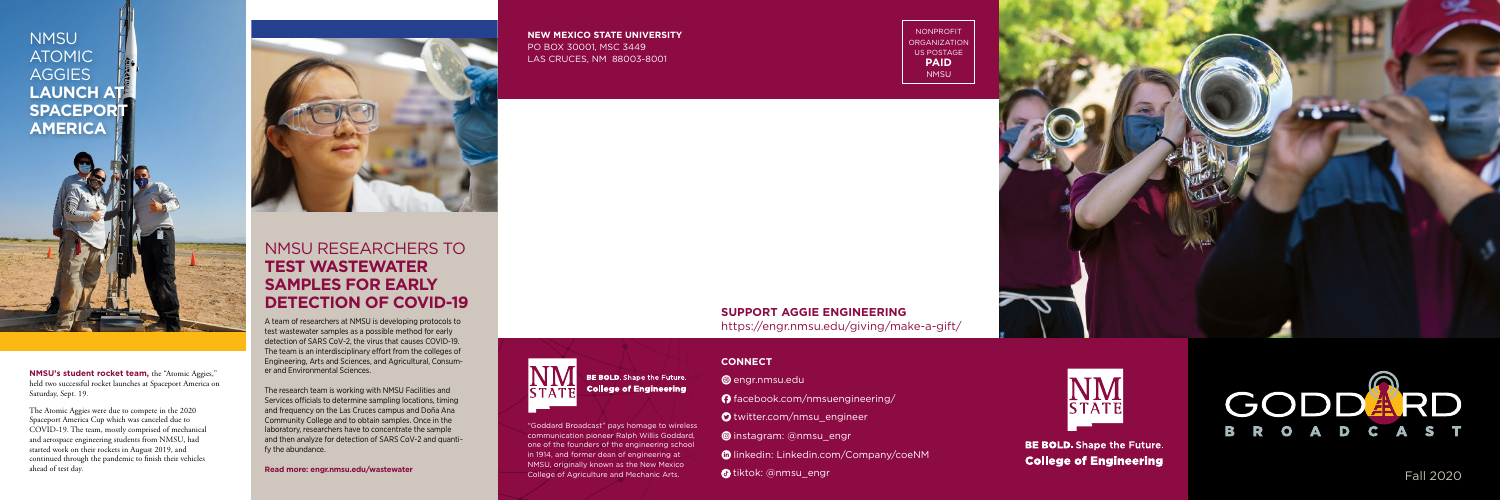#### **NEW MEXICO STATE UNIVERSITY** PO BOX 30001, MSC 3449 LAS CRUCES, NM 88003-8001

**STAT** 

BE BOLD. Shape the Future. **College of Engineering** 

NONPROFIT **ORGANIZATION** US POSTAGE **PAID** NMSU



#### **CONNECT**

- **@** engr.nmsu.edu
- F facebook.com/nmsuengineering/
- **O** twitter.com/nmsu\_engineer
- **O** instagram: @nmsu\_engr
- **C** linkedin: Linkedin.com/Company/coeNM
- **tiktok: @nmsu\_engr**



**BE BOLD.** Shape the Future. **College of Engineering** 





"Goddard Broadcast" pays homage to wireless communication pioneer Ralph Willis Goddard, one of the founders of the engineering school in 1914, and former dean of engineering at NMSU, originally known as the New Mexico College of Agriculture and Mechanic Arts. **Fall 2020 Fall 2020** 

#### **SUPPORT AGGIE ENGINEERING**

https://engr.nmsu.edu/giving/make-a-gift/

**NMSU's student rocket team,** the "Atomic Aggies," held two successful rocket launches at Spaceport America on Saturday, Sept. 19.

The Atomic Aggies were due to compete in the 2020 Spaceport America Cup which was canceled due to COVID-19. The team, mostly comprised of mechanical and aerospace engineering students from NMSU, had started work on their rockets in August 2019, and continued through the pandemic to finish their vehicles ahead of test day.





## NMSU RESEARCHERS TO **TEST WASTEWATER SAMPLES FOR EARLY DETECTION OF COVID-19**

A team of researchers at NMSU is developing protocols to test wastewater samples as a possible method for early detection of SARS CoV-2, the virus that causes COVID-19. The team is an interdisciplinary effort from the colleges of Engineering, Arts and Sciences, and Agricultural, Consum er and Environmental Sciences.

The research team is working with NMSU Facilities and Services officials to determine sampling locations, timing and frequency on the Las Cruces campus and Doña Ana Community College and to obtain samples. Once in the laboratory, researchers have to concentrate the sample and then analyze for detection of SARS CoV-2 and quanti fy the abundance.

**Read more: engr.nmsu.edu/wastewater**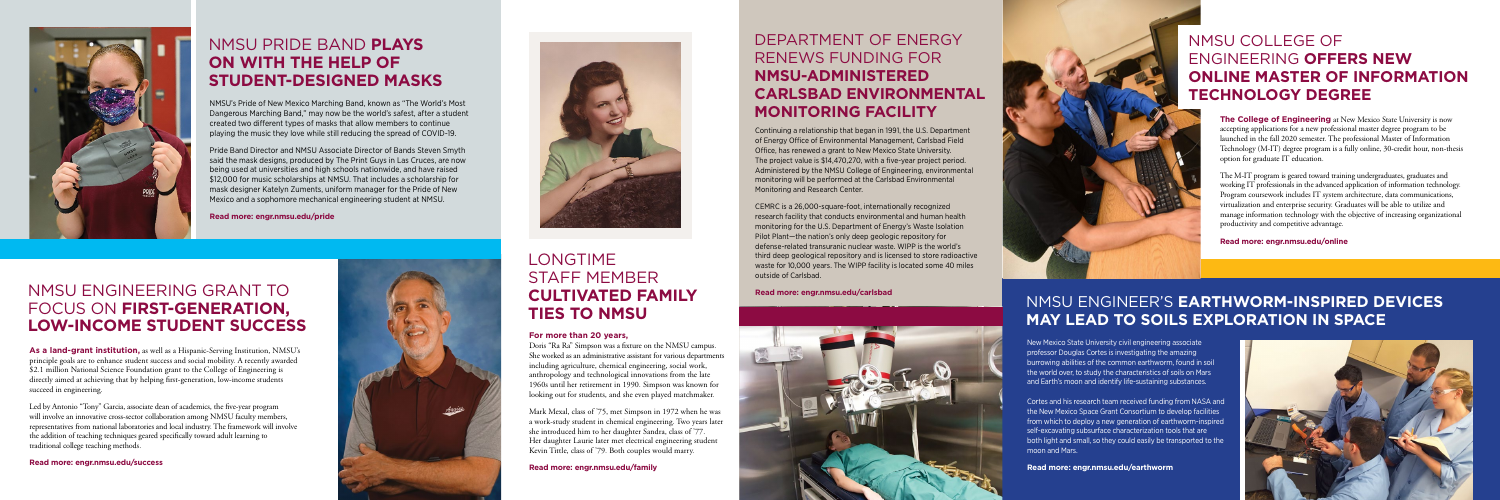**The College of Engineering** at New Mexico State University is now accepting applications for a new professional master degree program to be launched in the fall 2020 semester. The professional Master of Information Technology (M-IT) degree program is a fully online, 30-credit hour, non-thesis option for graduate IT education.

The M-IT program is geared toward training undergraduates, graduates and working IT professionals in the advanced application of information technology. Program coursework includes IT system architecture, data communications, virtualization and enterprise security. Graduates will be able to utilize and manage information technology with the objective of increasing organizational productivity and competitive advantage.

**Read more: engr.nmsu.edu/online**

#### LONGTIME STAFF MEMBER **CULTIVATED FAMILY TIES TO NMSU**

### NMSU ENGINEER'S **EARTHWORM-INSPIRED DEVICES MAY LEAD TO SOILS EXPLORATION IN SPACE**

#### **For more than 20 years,**

Doris "Ra Ra" Simpson was a fixture on the NMSU campus. She worked as an administrative assistant for various departments including agriculture, chemical engineering, social work, anthropology and technological innovations from the late 1960s until her retirement in 1990. Simpson was known for looking out for students, and she even played matchmaker.

Mark Mexal, class of '75, met Simpson in 1972 when he was a work-study student in chemical engineering. Two years later she introduced him to her daughter Sandra, class of '77. Her daughter Laurie later met electrical engineering student Kevin Tittle, class of '79. Both couples would marry.

**Read more: engr.nmsu.edu/family**

**As a land-grant institution,** as well as a Hispanic-Serving Institution, NMSU's principle goals are to enhance student success and social mobility. A recently awarded \$2.1 million National Science Foundation grant to the College of Engineering is directly aimed at achieving that by helping first-generation, low-income students succeed in engineering.

Led by Antonio "Tony" Garcia, associate dean of academics, the five-year program will involve an innovative cross-sector collaboration among NMSU faculty members, representatives from national laboratories and local industry. The framework will involve the addition of teaching techniques geared specifically toward adult learning to traditional college teaching methods.

#### **Read more: engr.nmsu.edu/success**





## DEPARTMENT OF ENERGY RENEWS FUNDING FOR **NMSU-ADMINISTERED CARLSBAD ENVIRONMENTAL MONITORING FACILITY**

Continuing a relationship that began in 1991, the U.S. Department of Energy Office of Environmental Management, Carlsbad Field Office, has renewed a grant to New Mexico State University. The project value is \$14,470,270, with a five-year project period. Administered by the NMSU College of Engineering, environmental monitoring will be performed at the Carlsbad Environmental Monitoring and Research Center.

CEMRC is a 26,000-square-foot, internationally recognized research facility that conducts environmental and human health monitoring for the U.S. Department of Energy's Waste Isolation Pilot Plant—the nation's only deep geologic repository for defense-related transuranic nuclear waste. WIPP is the world's third deep geological repository and is licensed to store radioactive waste for 10,000 years. The WIPP facility is located some 40 miles outside of Carlsbad.

**Read more: engr.nmsu.edu/carlsbad**



New Mexico State University civil engineering associate professor Douglas Cortes is investigating the amazing burrowing abilities of the common earthworm, found in soil the world over, to study the characteristics of soils on Mars and Earth's moon and identify life-sustaining substances.

Cortes and his research team received funding from NASA and the New Mexico Space Grant Consortium to develop facilities from which to deploy a new generation of earthworm-inspired self-excavating subsurface characterization tools that are both light and small, so they could easily be transported to the moon and Mars.

**Read more: engr.nmsu.edu/earthworm**





# NMSU PRIDE BAND **PLAYS ON WITH THE HELP OF STUDENT-DESIGNED MASKS**

#### NMSU ENGINEERING GRANT TO FOCUS ON **FIRST-GENERATION, LOW-INCOME STUDENT SUCCESS**

NMSU's Pride of New Mexico Marching Band, known as "The World's Most Dangerous Marching Band," may now be the world's safest, after a student created two different types of masks that allow members to continue playing the music they love while still reducing the spread of COVID-19.

Pride Band Director and NMSU Associate Director of Bands Steven Smyth said the mask designs, produced by The Print Guys in Las Cruces, are now being used at universities and high schools nationwide, and have raised \$12,000 for music scholarships at NMSU. That includes a scholarship for mask designer Katelyn Zuments, uniform manager for the Pride of New Mexico and a sophomore mechanical engineering student at NMSU.

**Read more: engr.nmsu.edu/pride**

# NMSU COLLEGE OF ENGINEERING **OFFERS NEW ONLINE MASTER OF INFORMATION TECHNOLOGY DEGREE**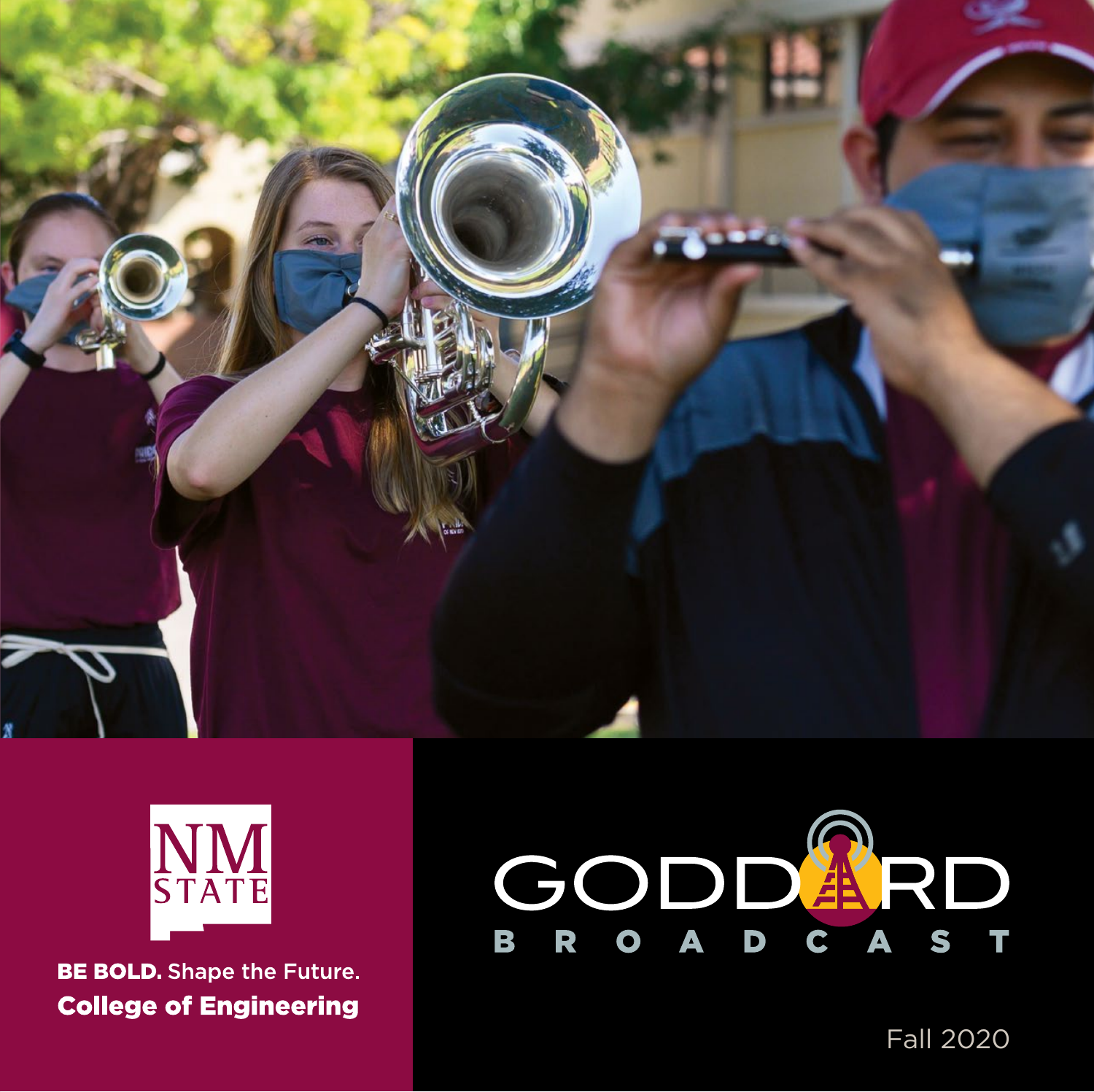



**BE BOLD.** Shape the Future. **College of Engineering** 



Fall 2020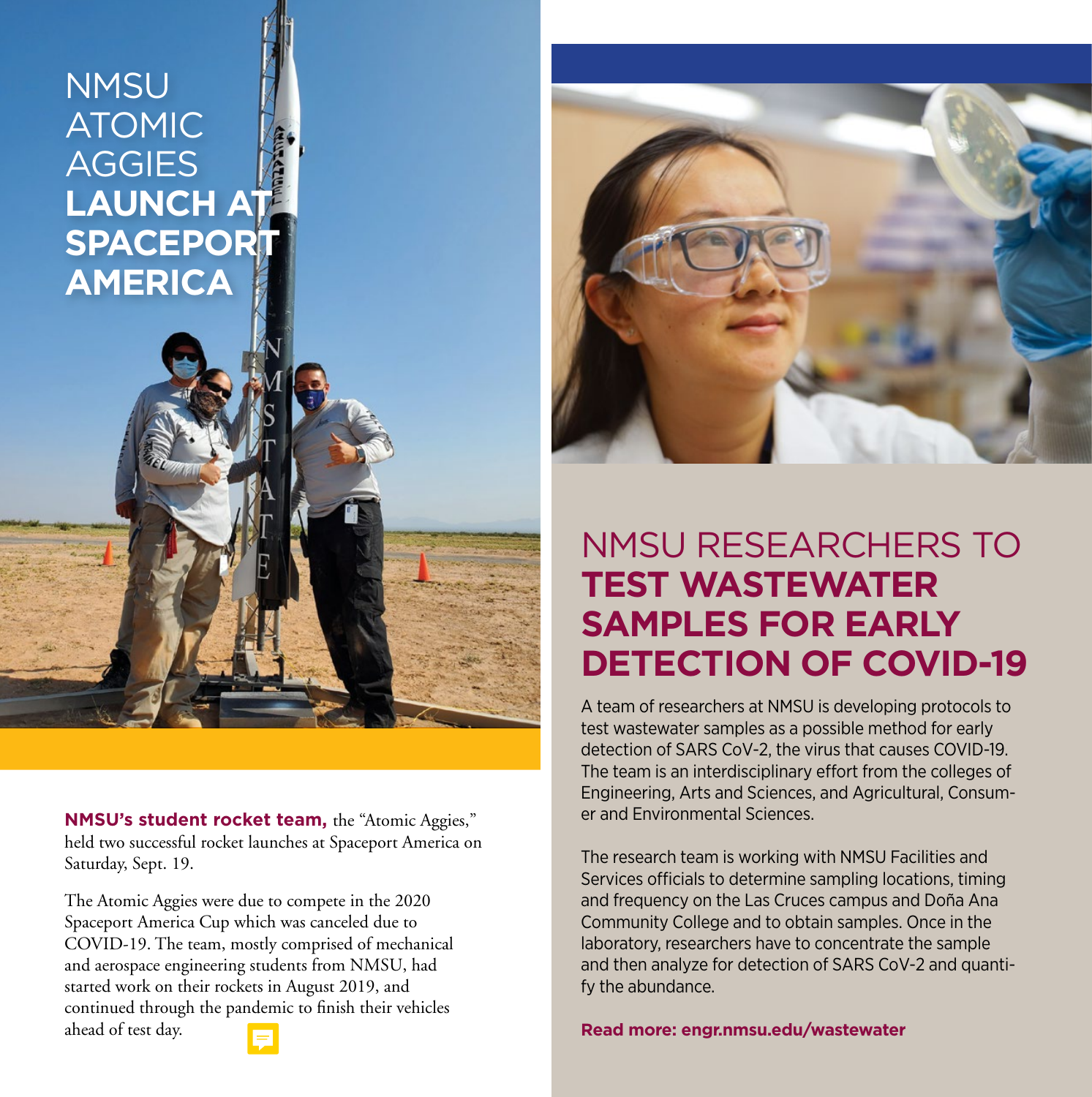### **NMSU** ATOMIC **AGGIES LAUNCH AT SPACEPORT AMERICA**

**NMSU's student rocket team,** the "Atomic Aggies," held two successful rocket launches at Spaceport America on Saturday, Sept. 19.

The Atomic Aggies were due to compete in the 2020 Spaceport America Cup which was canceled due to COVID-19. The team, mostly comprised of mechanical and aerospace engineering students from NMSU, had started work on their rockets in August 2019, and continued through the pandemic to finish their vehicles ahead of test day.



# NMSU RESEARCHERS TO **TEST WASTEWATER SAMPLES FOR EARLY DETECTION OF COVID-19**

A team of researchers at NMSU is developing protocols to test wastewater samples as a possible method for early detection of SARS CoV-2, the virus that causes COVID-19. The team is an interdisciplinary effort from the colleges of Engineering, Arts and Sciences, and Agricultural, Consumer and Environmental Sciences.

The research team is working with NMSU Facilities and Services officials to determine sampling locations, timing and frequency on the Las Cruces campus and Doña Ana Community College and to obtain samples. Once in the laboratory, researchers have to concentrate the sample and then analyze for detection of SARS CoV-2 and quantify the abundance.

**Read more: engr.nmsu.edu/wastewater**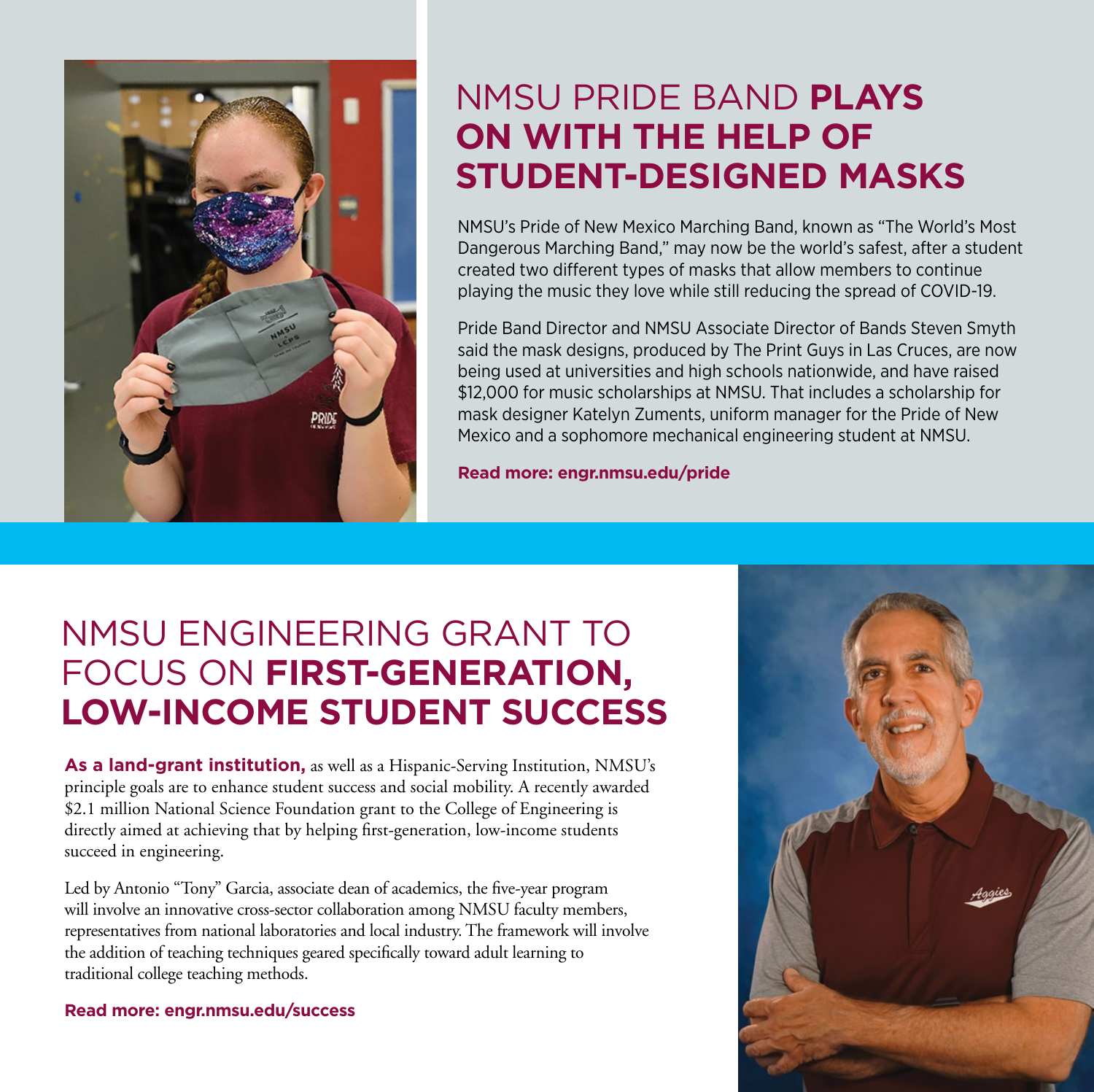

### NMSU PRIDE BAND **PLAYS ON WITH THE HELP OF STUDENT-DESIGNED MASKS**

NMSU's Pride of New Mexico Marching Band, known as "The World's Most Dangerous Marching Band," may now be the world's safest, after a student created two different types of masks that allow members to continue playing the music they love while still reducing the spread of COVID-19.

Pride Band Director and NMSU Associate Director of Bands Steven Smyth said the mask designs, produced by The Print Guys in Las Cruces, are now being used at universities and high schools nationwide, and have raised \$12,000 for music scholarships at NMSU. That includes a scholarship for mask designer Katelyn Zuments, uniform manager for the Pride of New Mexico and a sophomore mechanical engineering student at NMSU.

**Read more: engr.nmsu.edu/pride**

## NMSU ENGINEERING GRANT TO FOCUS ON **FIRST-GENERATION, LOW-INCOME STUDENT SUCCESS**

**As a land-grant institution,** as well as a Hispanic-Serving Institution, NMSU's principle goals are to enhance student success and social mobility. A recently awarded \$2.1 million National Science Foundation grant to the College of Engineering is directly aimed at achieving that by helping first-generation, low-income students succeed in engineering.

Led by Antonio "Tony" Garcia, associate dean of academics, the five-year program will involve an innovative cross-sector collaboration among NMSU faculty members, representatives from national laboratories and local industry. The framework will involve the addition of teaching techniques geared specifically toward adult learning to traditional college teaching methods.

**Read more: engr.nmsu.edu/success**

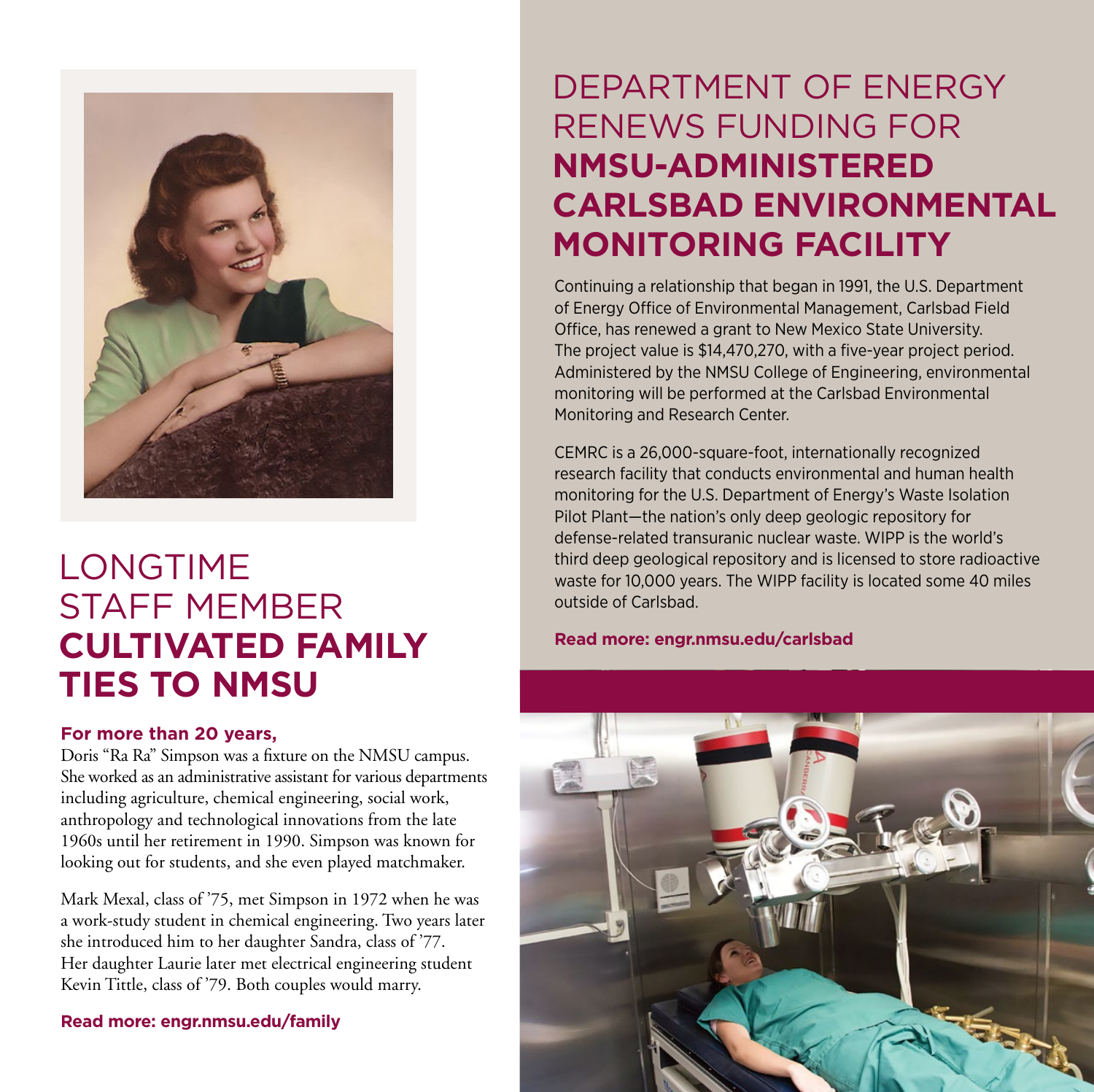

## LONGTIME STAFF MEMBER **CULTIVATED FAMILY TIES TO NMSU**

#### **For more than 20 years,**

Doris "Ra Ra" Simpson was a fixture on the NMSU campus. She worked as an administrative assistant for various departments including agriculture, chemical engineering, social work, anthropology and technological innovations from the late 1960s until her retirement in 1990. Simpson was known for looking out for students, and she even played matchmaker.

Mark Mexal, class of '75, met Simpson in 1972 when he was a work-study student in chemical engineering. Two years later she introduced him to her daughter Sandra, class of '77. Her daughter Laurie later met electrical engineering student Kevin Tittle, class of '79. Both couples would marry.

**Read more: engr.nmsu.edu/family**

## DEPARTMENT OF ENERGY RENEWS FUNDING FOR **NMSU-ADMINISTERED CARLSBAD ENVIRONMENTAL MONITORING FACILITY**

Continuing a relationship that began in 1991, the U.S. Department of Energy Office of Environmental Management, Carlsbad Field Office, has renewed a grant to New Mexico State University. The project value is \$14,470,270, with a five-year project period. Administered by the NMSU College of Engineering, environmental monitoring will be performed at the Carlsbad Environmental Monitoring and Research Center.

CEMRC is a 26,000-square-foot, internationally recognized research facility that conducts environmental and human health monitoring for the U.S. Department of Energy's Waste Isolation Pilot Plant—the nation's only deep geologic repository for defense-related transuranic nuclear waste. WIPP is the world's third deep geological repository and is licensed to store radioactive waste for 10,000 years. The WIPP facility is located some 40 miles outside of Carlsbad.

**Read more: engr.nmsu.edu/carlsbad**

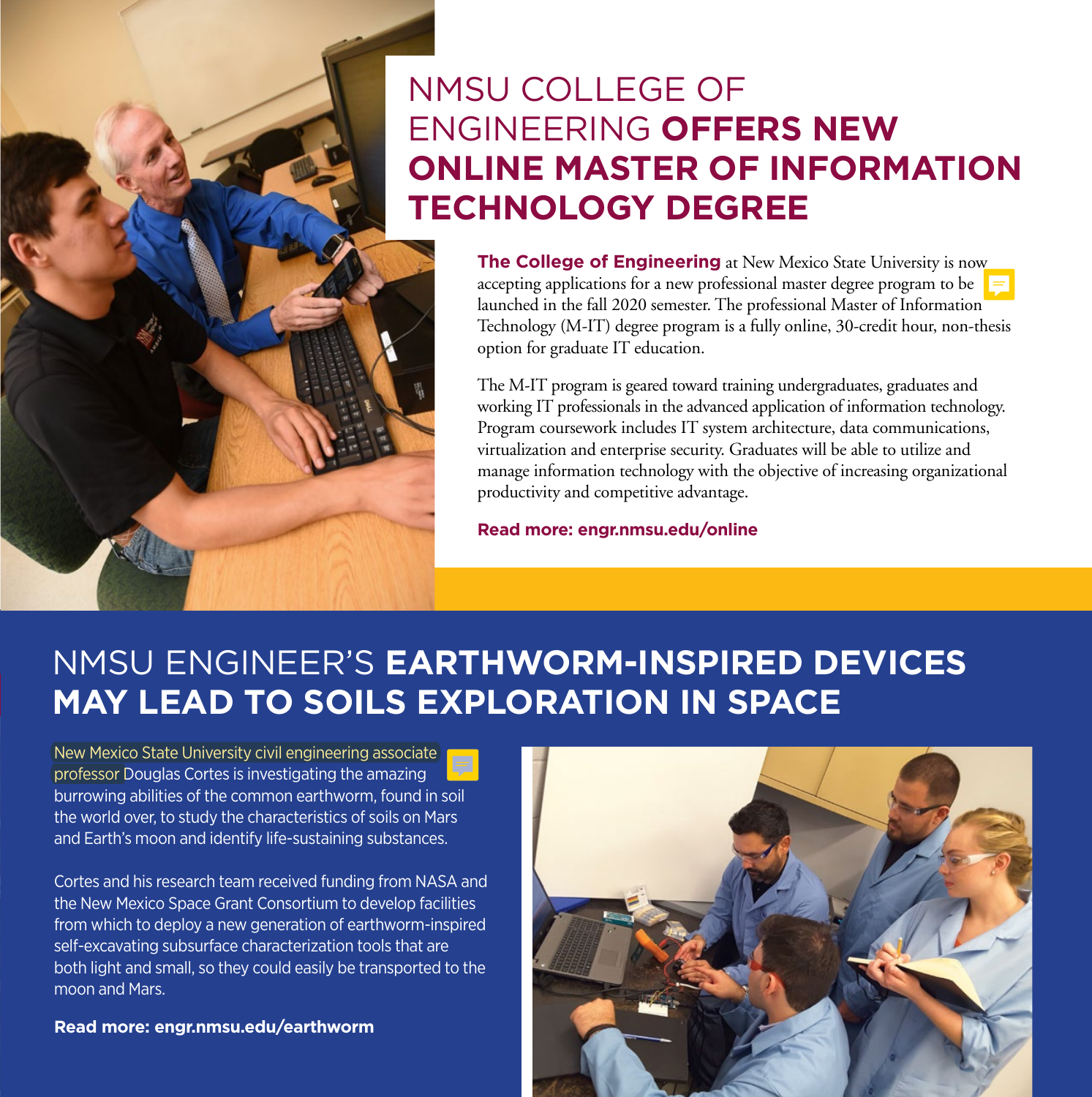## NMSU COLLEGE OF ENGINEERING **OFFERS NEW ONLINE MASTER OF INFORMATION TECHNOLOGY DEGREE**

**The College of Engineering** at New Mexico State University is now accepting applications for a new professional master degree program to be launched in the fall 2020 semester. The professional Master of Information Technology (M-IT) degree program is a fully online, 30-credit hour, non-thesis option for graduate IT education.

The M-IT program is geared toward training undergraduates, graduates and working IT professionals in the advanced application of information technology. Program coursework includes IT system architecture, data communications, virtualization and enterprise security. Graduates will be able to utilize and manage information technology with the objective of increasing organizational productivity and competitive advantage.

**Read more: engr.nmsu.edu/online**

#### NMSU ENGINEER'S **EARTHWORM-INSPIRED DEVICES MAY LEAD TO SOILS EXPLORATION IN SPACE**

New Mexico State University civil engineering associate professor Douglas Cortes is investigating the amazing burrowing abilities of the common earthworm, found in soil the world over, to study the characteristics of soils on Mars and Earth's moon and identify life-sustaining substances.

Cortes and his research team received funding from NASA and the New Mexico Space Grant Consortium to develop facilities from which to deploy a new generation of earthworm-inspired self-excavating subsurface characterization tools that are both light and small, so they could easily be transported to the moon and Mars.

**Read more: engr.nmsu.edu/earthworm**